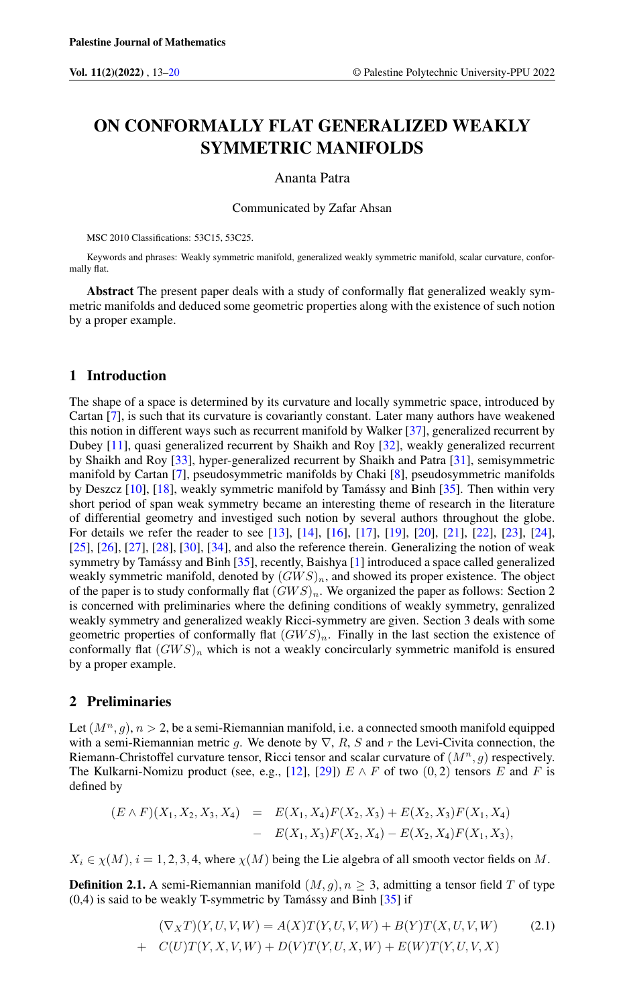# ON CONFORMALLY FLAT GENERALIZED WEAKLY SYMMETRIC MANIFOLDS

#### Ananta Patra

Communicated by Zafar Ahsan

MSC 2010 Classifications: 53C15, 53C25.

Keywords and phrases: Weakly symmetric manifold, generalized weakly symmetric manifold, scalar curvature, conformally flat.

Abstract The present paper deals with a study of conformally flat generalized weakly symmetric manifolds and deduced some geometric properties along with the existence of such notion by a proper example.

### 1 Introduction

The shape of a space is determined by its curvature and locally symmetric space, introduced by Cartan [\[7\]](#page-6-1), is such that its curvature is covariantly constant. Later many authors have weakened this notion in different ways such as recurrent manifold by Walker [\[37\]](#page-7-0), generalized recurrent by Dubey [\[11\]](#page-6-2), quasi generalized recurrent by Shaikh and Roy [\[32\]](#page-7-1), weakly generalized recurrent by Shaikh and Roy [\[33\]](#page-7-2), hyper-generalized recurrent by Shaikh and Patra [\[31\]](#page-7-3), semisymmetric manifold by Cartan [\[7\]](#page-6-1), pseudosymmetric manifolds by Chaki [\[8\]](#page-6-3), pseudosymmetric manifolds by Deszcz  $[10]$ ,  $[18]$ , weakly symmetric manifold by Tamássy and Binh  $[35]$  $[35]$ . Then within very short period of span weak symmetry became an interesting theme of research in the literature of differential geometry and investiged such notion by several authors throughout the globe. For details we refer the reader to see [\[13\]](#page-6-5), [\[14\]](#page-7-6), [\[16\]](#page-7-7), [\[17\]](#page-7-8), [\[19\]](#page-7-9), [\[20\]](#page-7-10), [\[21\]](#page-7-11), [\[22\]](#page-7-12), [\[23\]](#page-7-13), [\[24\]](#page-7-14), [\[25\]](#page-7-15), [\[26\]](#page-7-16), [\[27\]](#page-7-17), [\[28\]](#page-7-18), [\[30\]](#page-7-19), [\[34\]](#page-7-20), and also the reference therein. Generalizing the notion of weak symmetry by Tamássy and Binh  $[35]$  $[35]$ , recently, Baishya  $[1]$  introduced a space called generalized weakly symmetric manifold, denoted by  $(GWS)_n$ , and showed its proper existence. The object of the paper is to study conformally flat  $(GWS)_n$ . We organized the paper as follows: Section 2 is concerned with preliminaries where the defining conditions of weakly symmetry, genralized weakly symmetry and generalized weakly Ricci-symmetry are given. Section 3 deals with some geometric properties of conformally flat  $(GWS)_n$ . Finally in the last section the existence of conformally flat  $(GWS)_n$  which is not a weakly concircularly symmetric manifold is ensured by a proper example.

### 2 Preliminaries

Let  $(M^n, q)$ ,  $n > 2$ , be a semi-Riemannian manifold, i.e. a connected smooth manifold equipped with a semi-Riemannian metric g. We denote by  $\nabla$ , R, S and r the Levi-Civita connection, the Riemann-Christoffel curvature tensor, Ricci tensor and scalar curvature of  $(M^n, q)$  respectively. The Kulkarni-Nomizu product (see, e.g., [\[12\]](#page-6-7), [\[29\]](#page-7-21))  $E \wedge F$  of two (0,2) tensors E and F is defined by

$$
(E \wedge F)(X_1, X_2, X_3, X_4) = E(X_1, X_4)F(X_2, X_3) + E(X_2, X_3)F(X_1, X_4)
$$
  
- 
$$
E(X_1, X_3)F(X_2, X_4) - E(X_2, X_4)F(X_1, X_3),
$$

 $X_i \in \chi(M)$ ,  $i = 1, 2, 3, 4$ , where  $\chi(M)$  being the Lie algebra of all smooth vector fields on M.

**Definition 2.1.** A semi-Riemannian manifold  $(M, g)$ ,  $n \geq 3$ , admitting a tensor field T of type  $(0,4)$  is said to be weakly T-symmetric by Tamássy and Binh  $\left[35\right]$  if

$$
(\nabla_X T)(Y, U, V, W) = A(X)T(Y, U, V, W) + B(Y)T(X, U, V, W)
$$
\n
$$
+ C(U)T(Y, X, V, W) + D(V)T(Y, U, X, W) + E(W)T(Y, U, V, X)
$$
\n(2.1)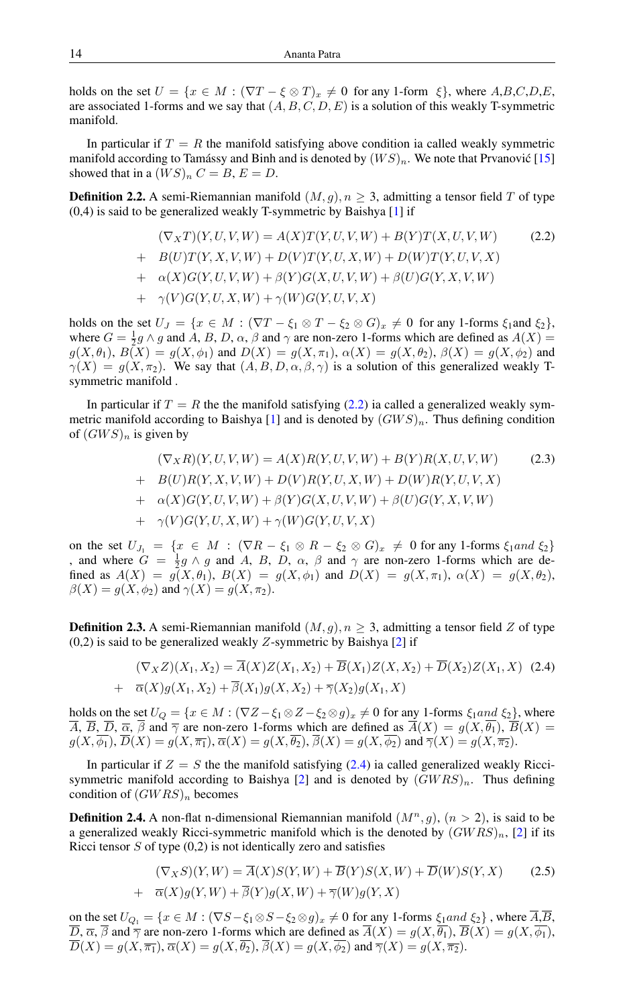holds on the set  $U = \{x \in M : (\nabla T - \xi \otimes T)_x \neq 0 \text{ for any } 1\text{-form } \xi\}$ , where  $A, B, C, D, E$ , are associated 1-forms and we say that  $(A, B, C, D, E)$  is a solution of this weakly T-symmetric manifold.

In particular if  $T = R$  the manifold satisfying above condition ia called weakly symmetric manifold according to Tamássy and Binh and is denoted by  $(W S)_n$ . We note that Prvanovic [[15\]](#page-7-22) showed that in a  $(W S)_n C = B, E = D$ .

**Definition 2.2.** A semi-Riemannian manifold  $(M, g)$ ,  $n \geq 3$ , admitting a tensor field T of type  $(0,4)$  is said to be generalized weakly T-symmetric by Baishya [\[1\]](#page-6-6) if

<span id="page-1-0"></span>
$$
(\nabla_X T)(Y, U, V, W) = A(X)T(Y, U, V, W) + B(Y)T(X, U, V, W)
$$
(2.2)  
+ 
$$
B(U)T(Y, X, V, W) + D(V)T(Y, U, X, W) + D(W)T(Y, U, V, X)
$$
  
+ 
$$
\alpha(X)G(Y, U, V, W) + \beta(Y)G(X, U, V, W) + \beta(U)G(Y, X, V, W)
$$
  
+ 
$$
\gamma(V)G(Y, U, X, W) + \gamma(W)G(Y, U, V, X)
$$

holds on the set  $U_J = \{x \in M : (\nabla T - \xi_1 \otimes T - \xi_2 \otimes G)_x \neq 0 \text{ for any } 1\text{-forms } \xi_1 \text{ and } \xi_2\},\$ where  $G = \frac{1}{2}g \wedge g$  and A, B, D,  $\alpha$ ,  $\beta$  and  $\gamma$  are non-zero 1-forms which are defined as  $A(X) =$  $g(X, \theta_1), B(X) = g(X, \phi_1)$  and  $D(X) = g(X, \pi_1), \alpha(X) = g(X, \theta_2), \beta(X) = g(X, \phi_2)$  and  $\gamma(X) = g(X, \pi_2)$ . We say that  $(A, B, D, \alpha, \beta, \gamma)$  is a solution of this generalized weakly Tsymmetric manifold .

In particular if  $T = R$  the the manifold satisfying [\(2.2\)](#page-1-0) ia called a generalized weakly sym-metric manifold according to Baishya [\[1\]](#page-6-6) and is denoted by  $(GWS)_n$ . Thus defining condition of  $(GWS)_n$  is given by

<span id="page-1-2"></span>
$$
(\nabla_X R)(Y, U, V, W) = A(X)R(Y, U, V, W) + B(Y)R(X, U, V, W)
$$
(2.3)  
+ 
$$
B(U)R(Y, X, V, W) + D(V)R(Y, U, X, W) + D(W)R(Y, U, V, X)
$$
  
+ 
$$
\alpha(X)G(Y, U, V, W) + \beta(Y)G(X, U, V, W) + \beta(U)G(Y, X, V, W)
$$
  
+ 
$$
\gamma(V)G(Y, U, X, W) + \gamma(W)G(Y, U, V, X)
$$

on the set  $U_{J_1} = \{x \in M : (\nabla R - \xi_1 \otimes R - \xi_2 \otimes G)_x \neq 0 \text{ for any 1-forms } \xi_1 \text{ and } \xi_2\}$ , and where  $G = \frac{1}{2}g \wedge g$  and A, B, D,  $\alpha$ ,  $\beta$  and  $\gamma$  are non-zero 1-forms which are defined as  $A(X) = g(X, \theta_1)$ ,  $B(X) = g(X, \phi_1)$  and  $D(X) = g(X, \pi_1)$ ,  $\alpha(X) = g(X, \theta_2)$ ,  $\beta(X) = g(X, \phi_2)$  and  $\gamma(X) = g(X, \pi_2)$ .

**Definition 2.3.** A semi-Riemannian manifold  $(M, g)$ ,  $n \geq 3$ , admitting a tensor field Z of type  $(0,2)$  is said to be generalized weakly Z-symmetric by Baishya [\[2\]](#page-6-8) if

<span id="page-1-1"></span>
$$
(\nabla_X Z)(X_1, X_2) = \overline{A}(X)Z(X_1, X_2) + \overline{B}(X_1)Z(X, X_2) + \overline{D}(X_2)Z(X_1, X)
$$
\n
$$
+ \overline{\alpha}(X)g(X_1, X_2) + \overline{\beta}(X_1)g(X, X_2) + \overline{\gamma}(X_2)g(X_1, X)
$$
\n(2.4)

holds on the set  $U_Q = \{x \in M : (\nabla Z - \xi_1 \otimes Z - \xi_2 \otimes g)_x \neq 0 \text{ for any } 1 \text{-forms } \xi_1 \text{ and } \xi_2\},\$ where  $\overline{A}$ ,  $\overline{B}$ ,  $\overline{D}$ ,  $\overline{\alpha}$ ,  $\overline{\beta}$  and  $\overline{\gamma}$  are non-zero 1-forms which are defined as  $\overline{A}(X) = g(X, \overline{\theta_1})$ ,  $\overline{B}(X) = g(X, \overline{\theta_2})$  $g(X, \overline{\phi_1})$ ,  $\overline{D}(X) = g(X, \overline{\pi_1})$ ,  $\overline{\alpha}(X) = g(X, \overline{\phi_2})$ ,  $\overline{\beta}(X) = g(X, \overline{\phi_2})$  and  $\overline{\gamma}(X) = g(X, \overline{\pi_2})$ .

In particular if  $Z = S$  the the manifold satisfying [\(2.4\)](#page-1-1) ia called generalized weakly Ricci-symmetric manifold according to Baishya [\[2\]](#page-6-8) and is denoted by  $(GWRS)_n$ . Thus defining condition of  $(GWRS)<sub>n</sub>$  becomes

**Definition 2.4.** A non-flat n-dimensional Riemannian manifold  $(M^n, g)$ ,  $(n > 2)$ , is said to be a generalized weakly Ricci-symmetric manifold which is the denoted by  $(GWRS)_n$ , [\[2\]](#page-6-8) if its Ricci tensor  $S$  of type  $(0,2)$  is not identically zero and satisfies

$$
(\nabla_X S)(Y, W) = \overline{A}(X)S(Y, W) + \overline{B}(Y)S(X, W) + \overline{D}(W)S(Y, X)
$$
\n
$$
+ \overline{\alpha}(X)g(Y, W) + \overline{\beta}(Y)g(X, W) + \overline{\gamma}(W)g(Y, X)
$$
\n(2.5)

on the set  $U_{Q_1} = \{x \in M : (\nabla S - \xi_1 \otimes S - \xi_2 \otimes g)_x \neq 0 \text{ for any } 1 \text{-forms } \xi_1 \text{ and } \xi_2\}$ , where  $\overline{A}, \overline{B}$ , D,  $\overline{\alpha}$ ,  $\beta$  and  $\overline{\gamma}$  are non-zero 1-forms which are defined as  $A(X) = g(X, \theta_1)$ ,  $B(X) = g(X, \phi_1)$ ,  $\overline{D}(X) = g(X, \overline{\pi_1}), \overline{\alpha}(X) = g(X, \overline{\theta_2}), \overline{\beta}(X) = g(X, \overline{\phi_2})$  and  $\overline{\gamma}(X) = g(X, \overline{\pi_2}).$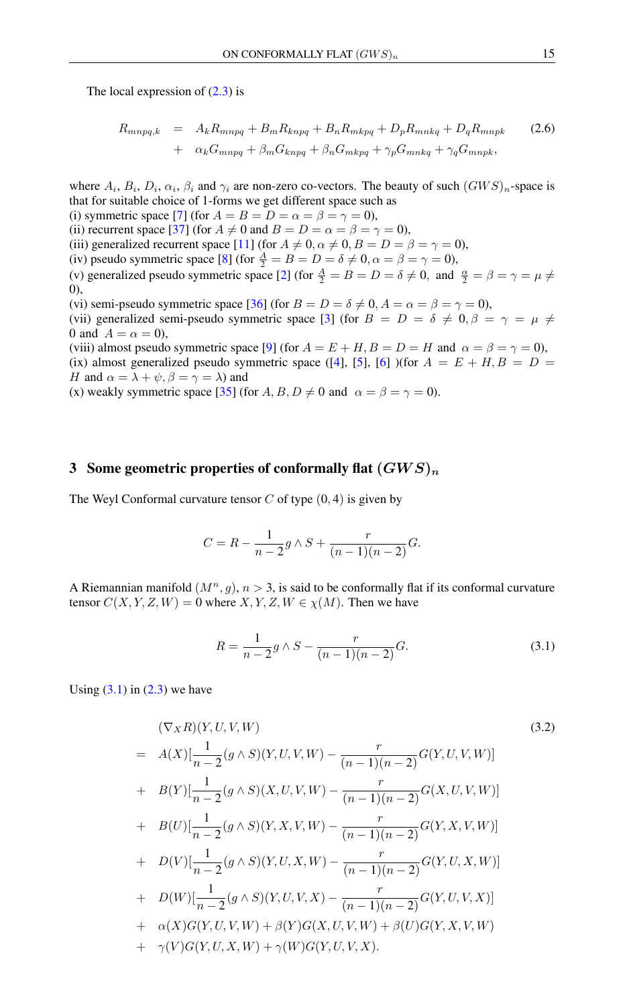The local expression of  $(2.3)$  is

<span id="page-2-2"></span>
$$
R_{mnpq,k} = A_k R_{mnpq} + B_m R_{knpq} + B_n R_{mkpq} + D_p R_{mnkq} + D_q R_{mnpk}
$$
  
+ 
$$
\alpha_k G_{mnpq} + \beta_m G_{knpq} + \beta_n G_{mkpq} + \gamma_p G_{mnkq} + \gamma_q G_{mnpk},
$$
 (2.6)

where  $A_i$ ,  $B_i$ ,  $D_i$ ,  $\alpha_i$ ,  $\beta_i$  and  $\gamma_i$  are non-zero co-vectors. The beauty of such  $(GWS)_n$ -space is that for suitable choice of 1-forms we get different space such as

(i) symmetric space [\[7\]](#page-6-1) (for  $A = B = D = \alpha = \beta = \gamma = 0$ ),

(ii) recurrent space [\[37\]](#page-7-0) (for  $A \neq 0$  and  $B = D = \alpha = \beta = \gamma = 0$ ),

(iii) generalized recurrent space [\[11\]](#page-6-2) (for  $A \neq 0, \alpha \neq 0, B = D = \beta = \gamma = 0$ ),

(iv) pseudo symmetric space [\[8\]](#page-6-3) (for  $\frac{A}{2} = B = D = \delta \neq 0, \alpha = \beta = \gamma = 0$ ),

(v) generalized pseudo symmetric space [\[2\]](#page-6-8) (for  $\frac{A}{2} = B = D = \delta \neq 0$ , and  $\frac{\alpha}{2} = \beta = \gamma = \mu \neq \infty$ ) 0),

(vi) semi-pseudo symmetric space [\[36\]](#page-7-23) (for  $B = D = \delta \neq 0, A = \alpha = \beta = \gamma = 0$ ),

(vii) generalized semi-pseudo symmetric space [\[3\]](#page-6-9) (for  $B = D = \delta \neq 0, \beta = \gamma = \mu \neq \gamma$ 0 and  $A = \alpha = 0$ ),

(viii) almost pseudo symmetric space [\[9\]](#page-6-10) (for  $A = E + H$ ,  $B = D = H$  and  $\alpha = \beta = \gamma = 0$ ), (ix) almost generalized pseudo symmetric space ([\[4\]](#page-6-11), [\[5\]](#page-6-12), [\[6\]](#page-6-13) )(for  $A = E + H, B = D =$ H and  $\alpha = \lambda + \psi$ ,  $\beta = \gamma = \lambda$ ) and

(x) weakly symmetric space [\[35\]](#page-7-5) (for  $A, B, D \neq 0$  and  $\alpha = \beta = \gamma = 0$ ).

## 3 Some geometric properties of conformally flat  $(GWS)<sub>n</sub>$

The Weyl Conformal curvature tensor  $C$  of type  $(0, 4)$  is given by

$$
C = R - \frac{1}{n-2}g \wedge S + \frac{r}{(n-1)(n-2)}G.
$$

A Riemannian manifold  $(M^n, g)$ ,  $n > 3$ , is said to be conformally flat if its conformal curvature tensor  $C(X, Y, Z, W) = 0$  where  $X, Y, Z, W \in \chi(M)$ . Then we have

<span id="page-2-0"></span>
$$
R = \frac{1}{n-2}g \wedge S - \frac{r}{(n-1)(n-2)}G.
$$
 (3.1)

Using  $(3.1)$  in  $(2.3)$  we have

<span id="page-2-1"></span>
$$
(\nabla_{X}R)(Y, U, V, W) \qquad (3.2)
$$
\n
$$
= A(X)[\frac{1}{n-2}(g \wedge S)(Y, U, V, W) - \frac{r}{(n-1)(n-2)}G(Y, U, V, W)]
$$
\n
$$
+ B(Y)[\frac{1}{n-2}(g \wedge S)(X, U, V, W) - \frac{r}{(n-1)(n-2)}G(X, U, V, W)]
$$
\n
$$
+ B(U)[\frac{1}{n-2}(g \wedge S)(Y, X, V, W) - \frac{r}{(n-1)(n-2)}G(Y, X, V, W)]
$$
\n
$$
+ D(V)[\frac{1}{n-2}(g \wedge S)(Y, U, X, W) - \frac{r}{(n-1)(n-2)}G(Y, U, X, W)]
$$
\n
$$
+ D(W)[\frac{1}{n-2}(g \wedge S)(Y, U, V, X) - \frac{r}{(n-1)(n-2)}G(Y, U, V, X)]
$$
\n
$$
+ \alpha(X)G(Y, U, V, W) + \beta(Y)G(X, U, V, W) + \beta(U)G(Y, X, V, W)
$$
\n
$$
+ \gamma(V)G(Y, U, X, W) + \gamma(W)G(Y, U, V, X).
$$
\n(3.2)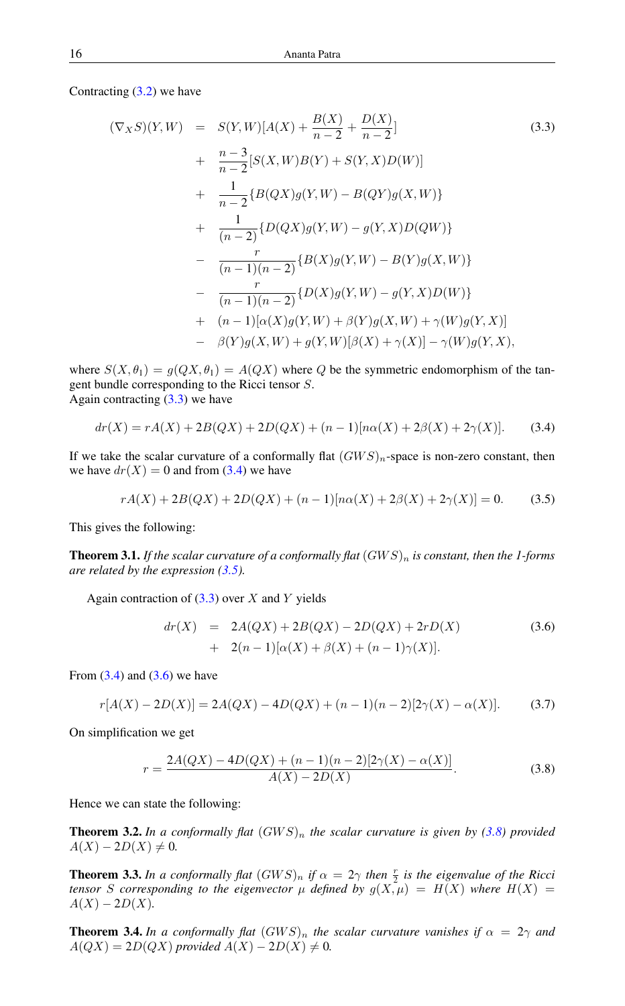Contracting  $(3.2)$  we have

<span id="page-3-0"></span>
$$
(\nabla_X S)(Y, W) = S(Y, W)[A(X) + \frac{B(X)}{n-2} + \frac{D(X)}{n-2}]
$$
\n
$$
+ \frac{n-3}{n-2}[S(X, W)B(Y) + S(Y, X)D(W)]
$$
\n
$$
+ \frac{1}{n-2}\{B(QX)g(Y, W) - B(QY)g(X, W)\}
$$
\n
$$
+ \frac{1}{(n-2)}\{D(QX)g(Y, W) - g(Y, X)D(QW)\}
$$
\n
$$
- \frac{r}{(n-1)(n-2)}\{B(X)g(Y, W) - B(Y)g(X, W)\}
$$
\n
$$
- \frac{r}{(n-1)(n-2)}\{D(X)g(Y, W) - g(Y, X)D(W)\}
$$
\n
$$
+ (n-1)[\alpha(X)g(Y, W) + \beta(Y)g(X, W) + \gamma(W)g(Y, X)]
$$
\n
$$
- \beta(Y)g(X, W) + g(Y, W)[\beta(X) + \gamma(X)] - \gamma(W)g(Y, X),
$$
\n(90)

where  $S(X, \theta_1) = g(QX, \theta_1) = A(QX)$  where Q be the symmetric endomorphism of the tangent bundle corresponding to the Ricci tensor S. Again contracting  $(3.3)$  we have

<span id="page-3-1"></span>
$$
dr(X) = rA(X) + 2B(QX) + 2D(QX) + (n-1)[n\alpha(X) + 2\beta(X) + 2\gamma(X)].
$$
 (3.4)

If we take the scalar curvature of a conformally flat  $(GWS)_n$ -space is non-zero constant, then we have  $dr(X) = 0$  and from [\(3.4\)](#page-3-1) we have

<span id="page-3-2"></span>
$$
rA(X) + 2B(QX) + 2D(QX) + (n-1)[n\alpha(X) + 2\beta(X) + 2\gamma(X)] = 0.
$$
 (3.5)

This gives the following:

**Theorem 3.1.** If the scalar curvature of a conformally flat  $(GWS)_n$  is constant, then the 1-forms *are related by the expression [\(3.5\)](#page-3-2).*

Again contraction of  $(3.3)$  over X and Y yields

<span id="page-3-3"></span>
$$
dr(X) = 2A(QX) + 2B(QX) - 2D(QX) + 2rD(X)
$$
  
+ 2(n-1)[\alpha(X) + \beta(X) + (n-1)\gamma(X)]. (3.6)

From  $(3.4)$  and  $(3.6)$  we have

$$
r[A(X) - 2D(X)] = 2A(QX) - 4D(QX) + (n - 1)(n - 2)[2\gamma(X) - \alpha(X)].
$$
 (3.7)

On simplification we get

<span id="page-3-4"></span>
$$
r = \frac{2A(QX) - 4D(QX) + (n-1)(n-2)[2\gamma(X) - \alpha(X)]}{A(X) - 2D(X)}.
$$
\n(3.8)

Hence we can state the following:

**Theorem 3.2.** In a conformally flat  $(GWS)_n$  the scalar curvature is given by [\(3.8\)](#page-3-4) provided  $A(X) - 2D(X) \neq 0.$ 

**Theorem 3.3.** In a conformally flat  $(GWS)_n$  if  $\alpha = 2\gamma$  then  $\frac{r}{2}$  is the eigenvalue of the Ricci *tensor* S corresponding to the eigenvector  $\mu$  defined by  $g(X, \mu) = H(X)$  where  $H(X) =$  $A(X) - 2D(X)$ .

**Theorem 3.4.** In a conformally flat  $(GWS)_n$  the scalar curvature vanishes if  $\alpha = 2\gamma$  and  $A(QX) = 2D(QX)$  *provided*  $A(X) - 2D(X) \neq 0$ .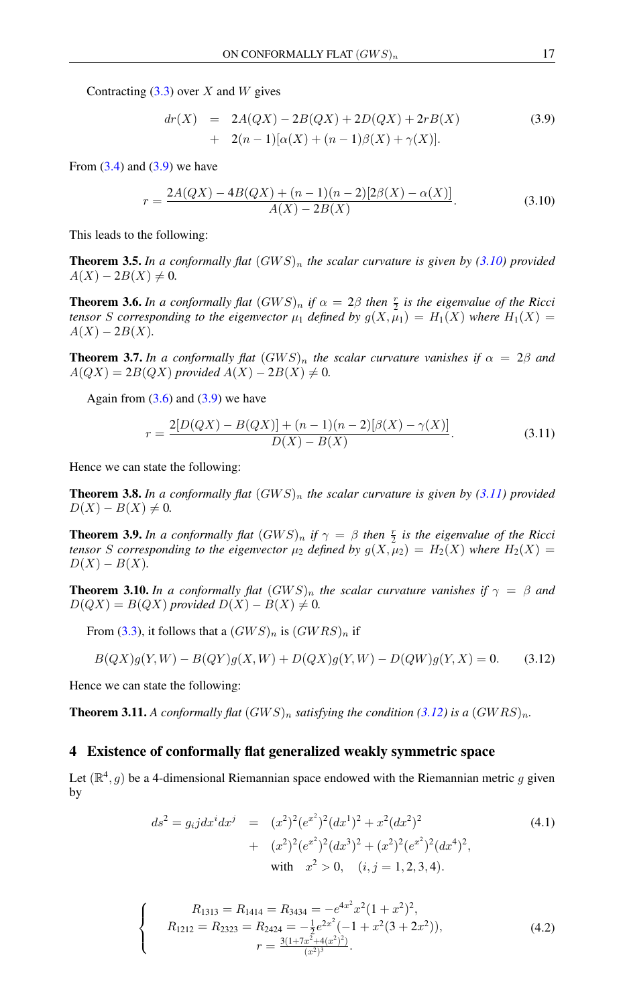Contracting  $(3.3)$  over X and W gives

<span id="page-4-0"></span>
$$
dr(X) = 2A(QX) - 2B(QX) + 2D(QX) + 2rB(X) + 2(n-1)[\alpha(X) + (n-1)\beta(X) + \gamma(X)].
$$
\n(3.9)

From  $(3.4)$  and  $(3.9)$  we have

<span id="page-4-1"></span> $\boldsymbol{r}$ 

$$
=\frac{2A(QX) - 4B(QX) + (n-1)(n-2)[2\beta(X) - \alpha(X)]}{A(X) - 2B(X)}.
$$
\n(3.10)

This leads to the following:

**Theorem 3.5.** In a conformally flat  $(GWS)_n$  the scalar curvature is given by [\(3.10\)](#page-4-1) provided  $A(X) - 2B(X) \neq 0.$ 

**Theorem 3.6.** In a conformally flat  $(GWS)_n$  if  $\alpha = 2\beta$  then  $\frac{r}{2}$  is the eigenvalue of the Ricci *tensor* S *corresponding to the eigenvector*  $\mu_1$  *defined by*  $g(X, \mu_1) = H_1(X)$  *where*  $H_1(X) =$  $A(X) - 2B(X)$ .

**Theorem 3.7.** In a conformally flat  $(GWS)_n$  the scalar curvature vanishes if  $\alpha = 2\beta$  and  $A(QX) = 2B(QX)$  *provided*  $A(X) - 2B(X) \neq 0$ .

Again from  $(3.6)$  and  $(3.9)$  we have

<span id="page-4-2"></span>
$$
r = \frac{2[D(QX) - B(QX)] + (n-1)(n-2)[\beta(X) - \gamma(X)]}{D(X) - B(X)}.
$$
\n(3.11)

Hence we can state the following:

**Theorem 3.8.** In a conformally flat  $(GWS)_n$  the scalar curvature is given by [\(3.11\)](#page-4-2) provided  $D(X) - B(X) \neq 0.$ 

**Theorem 3.9.** In a conformally flat  $(GWS)_n$  if  $\gamma = \beta$  then  $\frac{r}{2}$  is the eigenvalue of the Ricci *tensor S corresponding to the eigenvector*  $\mu_2$  *defined by*  $g(X, \mu_2) = H_2(X)$  *where*  $H_2(X) =$  $D(X) - B(X)$ .

**Theorem 3.10.** In a conformally flat  $(GWS)_n$  the scalar curvature vanishes if  $\gamma = \beta$  and  $D(QX) = B(QX)$  *provided*  $D(X) - B(X) \neq 0$ .

From [\(3.3\)](#page-3-0), it follows that a  $(GWS)_n$  is  $(GWRS)_n$  if

<span id="page-4-3"></span>
$$
B(QX)g(Y,W) - B(QY)g(X,W) + D(QX)g(Y,W) - D(QW)g(Y,X) = 0.
$$
 (3.12)

Hence we can state the following:

<span id="page-4-5"></span> $\sqrt{ }$  $\int$ 

 $\overline{\mathcal{L}}$ 

**Theorem 3.11.** A conformally flat  $(GWS)_n$  satisfying the condition [\(3.12\)](#page-4-3) is a  $(GWRS)_n$ .

### 4 Existence of conformally flat generalized weakly symmetric space

Let  $(\mathbb{R}^4, g)$  be a 4-dimensional Riemannian space endowed with the Riemannian metric g given by

<span id="page-4-4"></span>
$$
ds^{2} = g_{i}jdx^{i}dx^{j} = (x^{2})^{2}(e^{x^{2}})^{2}(dx^{1})^{2} + x^{2}(dx^{2})^{2} + (x^{2})^{2}(e^{x^{2}})^{2}(dx^{3})^{2} + (x^{2})^{2}(e^{x^{2}})^{2}(dx^{4})^{2},
$$
  
\nwith  $x^{2} > 0$ ,  $(i, j = 1, 2, 3, 4)$ . (4.1)

$$
R_{1313} = R_{1414} = R_{3434} = -e^{4x^2}x^2(1+x^2)^2,
$$
  
\n
$$
R_{1212} = R_{2323} = R_{2424} = -\frac{1}{2}e^{2x^2}(-1+x^2(3+2x^2)),
$$
  
\n
$$
r = \frac{3(1+7x^2+4(x^2)^2)}{(x^2)^3}.
$$
\n(4.2)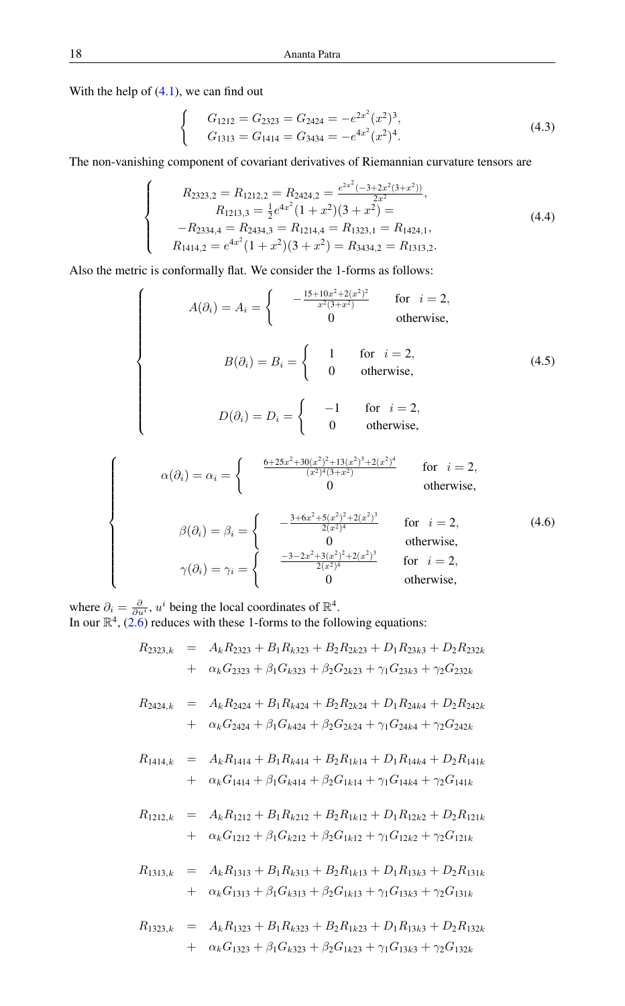With the help of  $(4.1)$ , we can find out

 $\sqrt{ }$  $\int$ 

 $\overline{\mathcal{L}}$ 

 $\sqrt{ }$ 

 $\begin{array}{c} \hline \end{array}$ 

<span id="page-5-0"></span> $\begin{array}{c} \hline \end{array}$ 

$$
\begin{cases}\nG_{1212} = G_{2323} = G_{2424} = -e^{2x^2}(x^2)^3, \\
G_{1313} = G_{1414} = G_{3434} = -e^{4x^2}(x^2)^4.\n\end{cases}
$$
\n(4.3)

The non-vanishing component of covariant derivatives of Riemannian curvature tensors are

$$
R_{2323,2} = R_{1212,2} = R_{2424,2} = \frac{e^{2x^2}(-3+2x^2(3+x^2))}{2x^2},
$$
  
\n
$$
R_{1213,3} = \frac{1}{2}e^{4x^2}(1+x^2)(3+x^2) =
$$
  
\n
$$
-R_{2334,4} = R_{2434,3} = R_{1214,4} = R_{1323,1} = R_{1424,1},
$$
  
\n
$$
R_{1414,2} = e^{4x^2}(1+x^2)(3+x^2) = R_{3434,2} = R_{1313,2}.
$$
  
\n(4.4)

Also the metric is conformally flat. We consider the 1-forms as follows:

$$
A(\partial_i) = A_i = \begin{cases} -\frac{15 + 10x^2 + 2(x^2)^2}{x^2(3+x^2)} & \text{for } i = 2, \\ 0 & \text{otherwise,} \end{cases}
$$
  
\n
$$
B(\partial_i) = B_i = \begin{cases} 1 & \text{for } i = 2, \\ 0 & \text{otherwise,} \end{cases}
$$
  
\n
$$
D(\partial_i) = D_i = \begin{cases} -1 & \text{for } i = 2, \\ 0 & \text{otherwise,} \end{cases}
$$
  
\n
$$
\alpha(\partial_i) = \alpha_i = \begin{cases} \frac{6 + 25x^2 + 30(x^2)^2 + 13(x^2)^3 + 2(x^2)^4}{(x^2)^4(3+x^2)} & \text{for } i = 2, \\ 0 & \text{otherwise,} \end{cases}
$$

$$
\alpha(\sigma_i) = \alpha_i = \begin{cases}\n\beta(\partial_i) = \beta_i = \begin{cases}\n\frac{3 + 6x^2 + 5(x^2)^2 + 2(x^2)^3}{2(x^2)^4} & \text{for } i = 2, \\
0 & \text{otherwise,} \\
0 & \text{otherwise,} \\
\gamma(\partial_i) = \gamma_i = \begin{cases}\n\frac{-3 - 2x^2 + 3(x^2)^2 + 2(x^2)^3}{2(x^2)^4} & \text{for } i = 2, \\
0 & \text{otherwise,} \\
0 & \text{otherwise,} \\
\end{cases}\n\end{cases}
$$
\n(4.6)

where  $\partial_i = \frac{\partial}{\partial u^i}$ ,  $u^i$  being the local coordinates of  $\mathbb{R}^4$ . In our  $\mathbb{R}^4$ , [\(2.6\)](#page-2-2) reduces with these 1-forms to the following equations:

$$
R_{2323,k} = A_k R_{2323} + B_1 R_{k323} + B_2 R_{2k23} + D_1 R_{23k3} + D_2 R_{232k}
$$
  
+ 
$$
\alpha_k G_{2323} + \beta_1 G_{k323} + \beta_2 G_{2k23} + \gamma_1 G_{23k3} + \gamma_2 G_{232k}
$$

$$
R_{2424,k} = A_k R_{2424} + B_1 R_{k424} + B_2 R_{2k24} + D_1 R_{24k4} + D_2 R_{242k}
$$
  
+ 
$$
\alpha_k G_{2424} + \beta_1 G_{k424} + \beta_2 G_{2k24} + \gamma_1 G_{24k4} + \gamma_2 G_{242k}
$$

$$
R_{1414,k} = A_k R_{1414} + B_1 R_{k414} + B_2 R_{1k14} + D_1 R_{14k4} + D_2 R_{141k}
$$
  
+ 
$$
\alpha_k G_{1414} + \beta_1 G_{k414} + \beta_2 G_{1k14} + \gamma_1 G_{14k4} + \gamma_2 G_{141k}
$$

$$
R_{1212,k} = A_k R_{1212} + B_1 R_{k212} + B_2 R_{1k12} + D_1 R_{12k2} + D_2 R_{121k}
$$
  
+ 
$$
\alpha_k G_{1212} + \beta_1 G_{k212} + \beta_2 G_{1k12} + \gamma_1 G_{12k2} + \gamma_2 G_{121k}
$$

$$
R_{1313,k} = A_k R_{1313} + B_1 R_{k313} + B_2 R_{1k13} + D_1 R_{13k3} + D_2 R_{131k}
$$
  
+ 
$$
\alpha_k G_{1313} + \beta_1 G_{k313} + \beta_2 G_{1k13} + \gamma_1 G_{13k3} + \gamma_2 G_{131k}
$$

$$
R_{1323,k} = A_k R_{1323} + B_1 R_{k323} + B_2 R_{1k23} + D_1 R_{13k3} + D_2 R_{132k}
$$
  
+ 
$$
\alpha_k G_{1323} + \beta_1 G_{k323} + \beta_2 G_{1k23} + \gamma_1 G_{13k3} + \gamma_2 G_{132k}
$$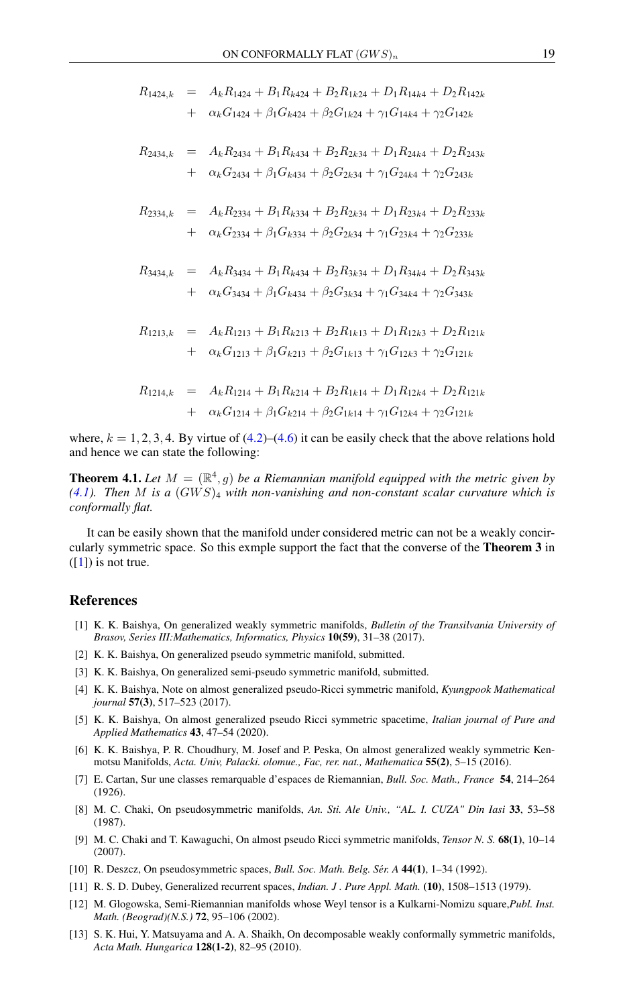$$
R_{1424,k} = A_k R_{1424} + B_1 R_{k424} + B_2 R_{1k24} + D_1 R_{14k4} + D_2 R_{142k}
$$
  
+ 
$$
\alpha_k G_{1424} + \beta_1 G_{k424} + \beta_2 G_{1k24} + \gamma_1 G_{14k4} + \gamma_2 G_{142k}
$$

$$
R_{2434,k} = A_k R_{2434} + B_1 R_{k434} + B_2 R_{2k34} + D_1 R_{24k4} + D_2 R_{243k}
$$
  
+ 
$$
\alpha_k G_{2434} + \beta_1 G_{k434} + \beta_2 G_{2k34} + \gamma_1 G_{24k4} + \gamma_2 G_{243k}
$$

$$
R_{2334,k} = A_k R_{2334} + B_1 R_{k334} + B_2 R_{2k34} + D_1 R_{23k4} + D_2 R_{233k}
$$
  
+  $\alpha_k G_{2334} + \beta_1 G_{k334} + \beta_2 G_{2k34} + \gamma_1 G_{23k4} + \gamma_2 G_{233k}$ 

$$
R_{3434,k} = A_k R_{3434} + B_1 R_{k434} + B_2 R_{3k34} + D_1 R_{34k4} + D_2 R_{343k}
$$
  
+ 
$$
\alpha_k G_{3434} + \beta_1 G_{k434} + \beta_2 G_{3k34} + \gamma_1 G_{34k4} + \gamma_2 G_{343k}
$$

$$
R_{1213,k} = A_k R_{1213} + B_1 R_{k213} + B_2 R_{1k13} + D_1 R_{12k3} + D_2 R_{121k}
$$
  
+ 
$$
\alpha_k G_{1213} + \beta_1 G_{k213} + \beta_2 G_{1k13} + \gamma_1 G_{12k3} + \gamma_2 G_{121k}
$$

$$
R_{1214,k} = A_k R_{1214} + B_1 R_{k214} + B_2 R_{1k14} + D_1 R_{12k4} + D_2 R_{121k}
$$
  
+ 
$$
\alpha_k G_{1214} + \beta_1 G_{k214} + \beta_2 G_{1k14} + \gamma_1 G_{12k4} + \gamma_2 G_{121k}
$$

where,  $k = 1, 2, 3, 4$ . By virtue of  $(4.2)$ – $(4.6)$  it can be easily check that the above relations hold and hence we can state the following:

**Theorem 4.1.** Let  $M = (\mathbb{R}^4, g)$  be a Riemannian manifold equipped with the metric given by  $(4.1)$ *. Then* M is a  $(GWS)_4$  with non-vanishing and non-constant scalar curvature which is *conformally flat.*

It can be easily shown that the manifold under considered metric can not be a weakly concircularly symmetric space. So this exmple support the fact that the converse of the Theorem 3 in  $([1])$  $([1])$  $([1])$  is not true.

### <span id="page-6-0"></span>References

- <span id="page-6-6"></span>[1] K. K. Baishya, On generalized weakly symmetric manifolds, *Bulletin of the Transilvania University of Brasov, Series III:Mathematics, Informatics, Physics* 10(59), 31–38 (2017).
- <span id="page-6-8"></span>[2] K. K. Baishya, On generalized pseudo symmetric manifold, submitted.
- <span id="page-6-9"></span>[3] K. K. Baishya, On generalized semi-pseudo symmetric manifold, submitted.
- <span id="page-6-11"></span>[4] K. K. Baishya, Note on almost generalized pseudo-Ricci symmetric manifold, *Kyungpook Mathematical journal* 57(3), 517–523 (2017).
- <span id="page-6-12"></span>[5] K. K. Baishya, On almost generalized pseudo Ricci symmetric spacetime, *Italian journal of Pure and Applied Mathematics* 43, 47–54 (2020).
- <span id="page-6-13"></span>[6] K. K. Baishya, P. R. Choudhury, M. Josef and P. Peska, On almost generalized weakly symmetric Kenmotsu Manifolds, *Acta. Univ, Palacki. olomue., Fac, rer. nat., Mathematica* 55(2), 5–15 (2016).
- <span id="page-6-1"></span>[7] E. Cartan, Sur une classes remarquable d'espaces de Riemannian, *Bull. Soc. Math., France* 54, 214–264 (1926).
- <span id="page-6-3"></span>[8] M. C. Chaki, On pseudosymmetric manifolds, *An. Sti. Ale Univ., "AL. I. CUZA" Din Iasi* 33, 53–58 (1987).
- <span id="page-6-10"></span>[9] M. C. Chaki and T. Kawaguchi, On almost pseudo Ricci symmetric manifolds, *Tensor N. S.* 68(1), 10–14 (2007).
- <span id="page-6-4"></span>[10] R. Deszcz, On pseudosymmetric spaces, *Bull. Soc. Math. Belg. Sér. A* 44(1), 1–34 (1992).
- <span id="page-6-2"></span>[11] R. S. D. Dubey, Generalized recurrent spaces, *Indian. J . Pure Appl. Math.* (10), 1508–1513 (1979).
- <span id="page-6-7"></span>[12] M. Glogowska, Semi-Riemannian manifolds whose Weyl tensor is a Kulkarni-Nomizu square,*Publ. Inst. Math. (Beograd)(N.S.)* 72, 95–106 (2002).
- <span id="page-6-5"></span>[13] S. K. Hui, Y. Matsuyama and A. A. Shaikh, On decomposable weakly conformally symmetric manifolds, *Acta Math. Hungarica* 128(1-2), 82–95 (2010).